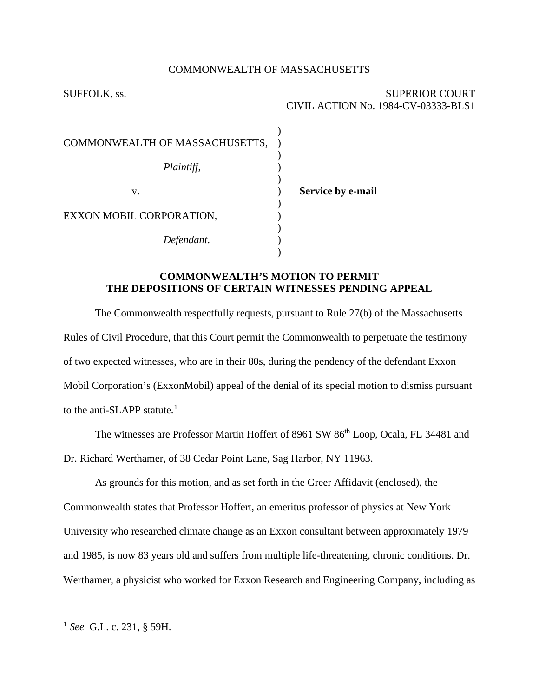#### COMMONWEALTH OF MASSACHUSETTS

) ) ) ) ) ) ) ) ) ) )

SUFFOLK, ss. SUPERIOR COURT CIVIL ACTION No. 1984-CV-03333-BLS1

COMMONWEALTH OF MASSACHUSETTS,

*Plaintiff*,

v.

**Service by e-mail**

EXXON MOBIL CORPORATION,

*Defendant*.

## **COMMONWEALTH'S MOTION TO PERMIT THE DEPOSITIONS OF CERTAIN WITNESSES PENDING APPEAL**

The Commonwealth respectfully requests, pursuant to Rule 27(b) of the Massachusetts Rules of Civil Procedure, that this Court permit the Commonwealth to perpetuate the testimony of two expected witnesses, who are in their 80s, during the pendency of the defendant Exxon Mobil Corporation's (ExxonMobil) appeal of the denial of its special motion to dismiss pursuant to the anti-SLAPP statute. $<sup>1</sup>$  $<sup>1</sup>$  $<sup>1</sup>$ </sup>

The witnesses are Professor Martin Hoffert of 8961 SW 86<sup>th</sup> Loop, Ocala, FL 34481 and Dr. Richard Werthamer, of 38 Cedar Point Lane, Sag Harbor, NY 11963.

As grounds for this motion, and as set forth in the Greer Affidavit (enclosed), the Commonwealth states that Professor Hoffert, an emeritus professor of physics at New York University who researched climate change as an Exxon consultant between approximately 1979 and 1985, is now 83 years old and suffers from multiple life-threatening, chronic conditions. Dr. Werthamer, a physicist who worked for Exxon Research and Engineering Company, including as

<span id="page-0-0"></span><sup>1</sup> *See* G.L. c. 231, § 59H.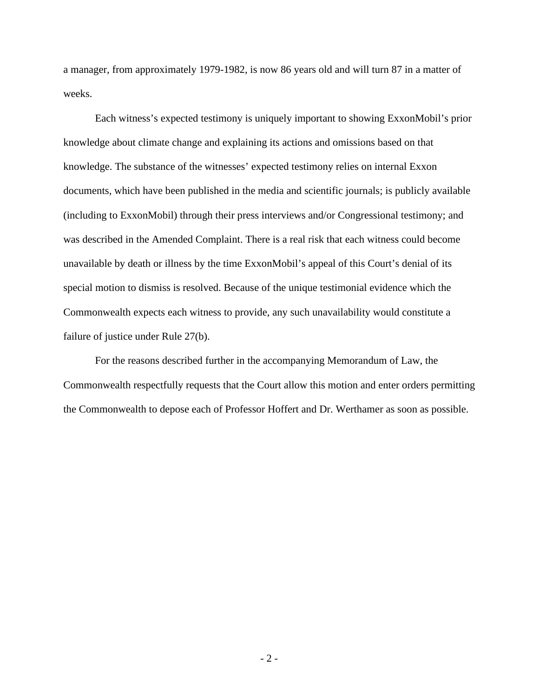a manager, from approximately 1979-1982, is now 86 years old and will turn 87 in a matter of weeks.

Each witness's expected testimony is uniquely important to showing ExxonMobil's prior knowledge about climate change and explaining its actions and omissions based on that knowledge. The substance of the witnesses' expected testimony relies on internal Exxon documents, which have been published in the media and scientific journals; is publicly available (including to ExxonMobil) through their press interviews and/or Congressional testimony; and was described in the Amended Complaint. There is a real risk that each witness could become unavailable by death or illness by the time ExxonMobil's appeal of this Court's denial of its special motion to dismiss is resolved. Because of the unique testimonial evidence which the Commonwealth expects each witness to provide, any such unavailability would constitute a failure of justice under Rule 27(b).

For the reasons described further in the accompanying Memorandum of Law, the Commonwealth respectfully requests that the Court allow this motion and enter orders permitting the Commonwealth to depose each of Professor Hoffert and Dr. Werthamer as soon as possible.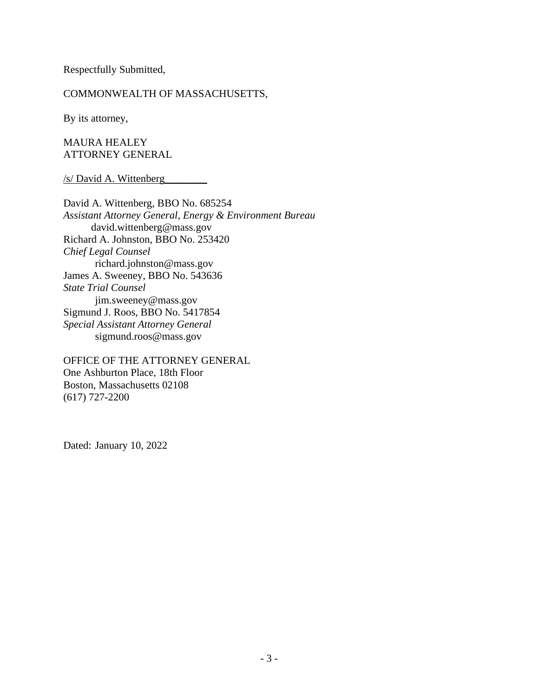Respectfully Submitted,

## COMMONWEALTH OF MASSACHUSETTS,

By its attorney,

MAURA HEALEY ATTORNEY GENERAL

### /s/ David A. Wittenberg\_\_\_\_\_\_\_\_

David A. Wittenberg, BBO No. 685254 *Assistant Attorney General, Energy & Environment Bureau* david.wittenberg@mass.gov Richard A. Johnston, BBO No. 253420 *Chief Legal Counsel* richard.johnston@mass.gov James A. Sweeney, BBO No. 543636 *State Trial Counsel* jim.sweeney@mass.gov Sigmund J. Roos, BBO No. 5417854 *Special Assistant Attorney General* sigmund.roos@mass.gov

OFFICE OF THE ATTORNEY GENERAL One Ashburton Place, 18th Floor Boston, Massachusetts 02108 (617) 727-2200

Dated: January 10, 2022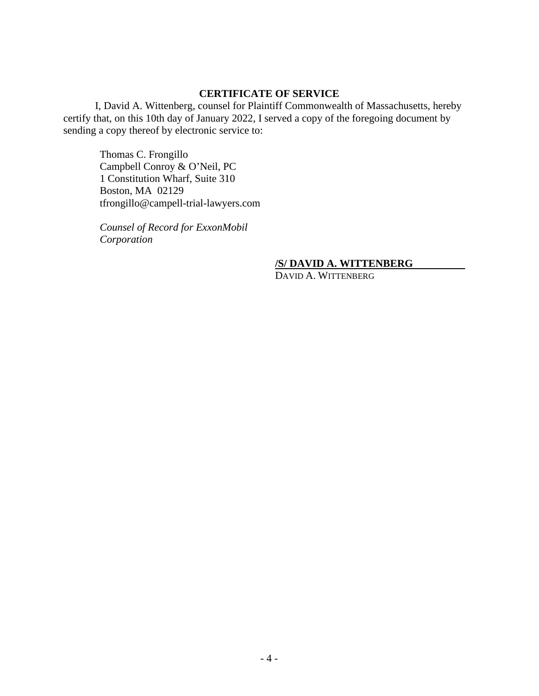## **CERTIFICATE OF SERVICE**

I, David A. Wittenberg, counsel for Plaintiff Commonwealth of Massachusetts, hereby certify that, on this 10th day of January 2022, I served a copy of the foregoing document by sending a copy thereof by electronic service to:

Thomas C. Frongillo Campbell Conroy & O'Neil, PC 1 Constitution Wharf, Suite 310 Boston, MA 02129 tfrongillo@campell-trial-lawyers.com

*Counsel of Record for ExxonMobil Corporation*

# **/S/ DAVID A. WITTENBERG**

DAVID A. WITTENBERG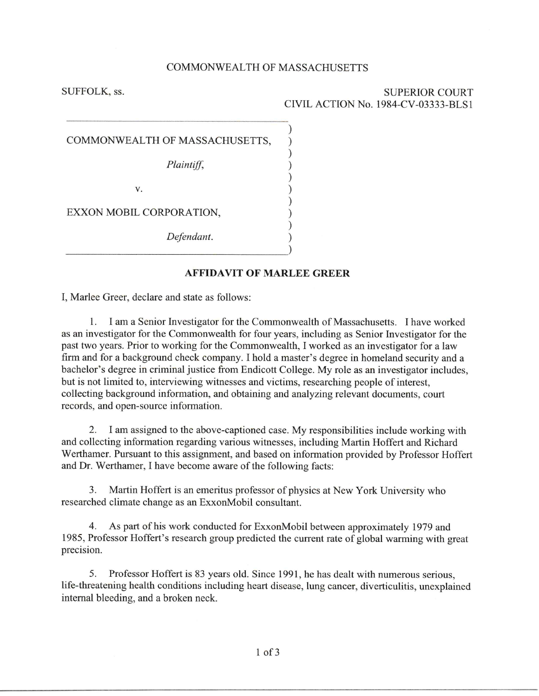#### **COMMONWEALTH OF MASSACHUSETTS**

 $\mathcal{E}$  $\mathcal{E}$ 

SUFFOLK, ss.

**SUPERIOR COURT** CIVIL ACTION No. 1984-CV-03333-BLS1

| COMMONWEALTH OF MASSACHUSETTS, |
|--------------------------------|
| Plaintiff,                     |
| V.                             |
| EXXON MOBIL CORPORATION,       |
| Defendant.                     |
|                                |

### **AFFIDAVIT OF MARLEE GREER**

I, Marlee Greer, declare and state as follows:

1. I am a Senior Investigator for the Commonwealth of Massachusetts. I have worked as an investigator for the Commonwealth for four years, including as Senior Investigator for the past two years. Prior to working for the Commonwealth, I worked as an investigator for a law firm and for a background check company. I hold a master's degree in homeland security and a bachelor's degree in criminal justice from Endicott College. My role as an investigator includes, but is not limited to, interviewing witnesses and victims, researching people of interest, collecting background information, and obtaining and analyzing relevant documents, court records, and open-source information.

2. I am assigned to the above-captioned case. My responsibilities include working with and collecting information regarding various witnesses, including Martin Hoffert and Richard Werthamer. Pursuant to this assignment, and based on information provided by Professor Hoffert and Dr. Werthamer, I have become aware of the following facts:

Martin Hoffert is an emeritus professor of physics at New York University who 3. researched climate change as an ExxonMobil consultant.

As part of his work conducted for ExxonMobil between approximately 1979 and 4. 1985, Professor Hoffert's research group predicted the current rate of global warming with great precision.

Professor Hoffert is 83 years old. Since 1991, he has dealt with numerous serious, 5. life-threatening health conditions including heart disease, lung cancer, diverticulitis, unexplained internal bleeding, and a broken neck.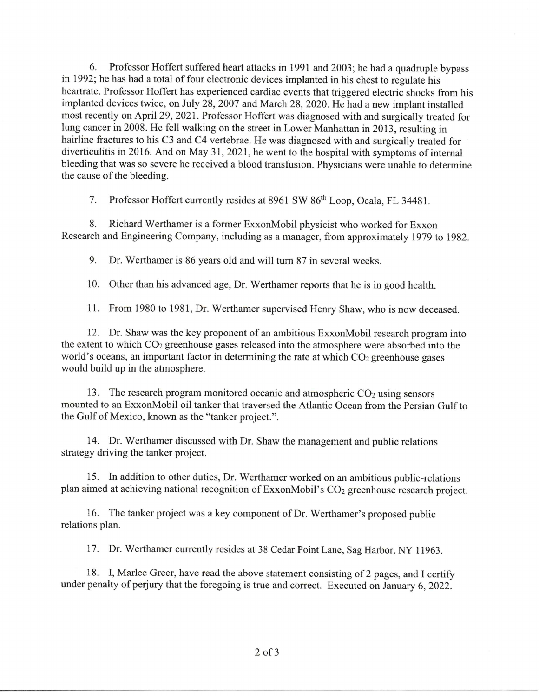Professor Hoffert suffered heart attacks in 1991 and 2003; he had a quadruple bypass 6. in 1992; he has had a total of four electronic devices implanted in his chest to regulate his heartrate. Professor Hoffert has experienced cardiac events that triggered electric shocks from his implanted devices twice, on July 28, 2007 and March 28, 2020. He had a new implant installed most recently on April 29, 2021. Professor Hoffert was diagnosed with and surgically treated for lung cancer in 2008. He fell walking on the street in Lower Manhattan in 2013, resulting in hairline fractures to his C3 and C4 vertebrae. He was diagnosed with and surgically treated for diverticulitis in 2016. And on May 31, 2021, he went to the hospital with symptoms of internal bleeding that was so severe he received a blood transfusion. Physicians were unable to determine the cause of the bleeding.

Professor Hoffert currently resides at 8961 SW 86<sup>th</sup> Loop, Ocala, FL 34481. 7.

Richard Werthamer is a former ExxonMobil physicist who worked for Exxon 8. Research and Engineering Company, including as a manager, from approximately 1979 to 1982.

9. Dr. Werthamer is 86 years old and will turn 87 in several weeks.

10. Other than his advanced age, Dr. Werthamer reports that he is in good health.

11. From 1980 to 1981, Dr. Werthamer supervised Henry Shaw, who is now deceased.

12. Dr. Shaw was the key proponent of an ambitious ExxonMobil research program into the extent to which CO<sub>2</sub> greenhouse gases released into the atmosphere were absorbed into the world's oceans, an important factor in determining the rate at which  $CO<sub>2</sub>$  greenhouse gases would build up in the atmosphere.

13. The research program monitored oceanic and atmospheric  $CO<sub>2</sub>$  using sensors mounted to an ExxonMobil oil tanker that traversed the Atlantic Ocean from the Persian Gulf to the Gulf of Mexico, known as the "tanker project.".

14. Dr. Werthamer discussed with Dr. Shaw the management and public relations strategy driving the tanker project.

15. In addition to other duties, Dr. Werthamer worked on an ambitious public-relations plan aimed at achieving national recognition of ExxonMobil's CO<sub>2</sub> greenhouse research project.

16. The tanker project was a key component of Dr. Werthamer's proposed public relations plan.

17. Dr. Werthamer currently resides at 38 Cedar Point Lane, Sag Harbor, NY 11963.

18. I, Marlee Greer, have read the above statement consisting of 2 pages, and I certify under penalty of perjury that the foregoing is true and correct. Executed on January 6, 2022.